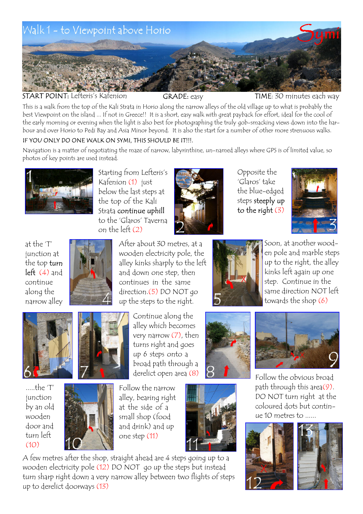

START POINT: Lefteris's Kafenion GRADE: easy TIME: 30 minutes each way

This is a walk from the top of the Kali Strata in Horio along the narrow alleys of the old village up to what is probably the best Viewpoint on the island ... If not in Greece!! It is a short, easy walk with great payback for effort, ideal for the cool of the early morning or evening when the light is also best for photographing the truly gob-smacking views down into the harbour and over Horio to Pedi Bay and Asia Minor beyond. It is also the start for a number of other more strenuous walks. IF YOU ONLY DO ONE WALK ON SYMI, THIS SHOULD BE IT!!!.

Navigation is a matter of negotiating the maze of narrow, labyrinthine, un-named alleys where GPS is of limited value, so photos of key points are used instead.



Starting from Lefteris's Kafenion (1) just below the last steps at the top of the Kali Strata continue uphill to the 'Glaros' Taverna on the left (2)



Opposite the 'Glaros' take the blue-edged steps steeply up to the right  $(3)$ 







After about 30 metres, at a wooden electricity pole, the alley kinks sharply to the left and down one step, then continues in the same direction.(5) DO NOT go up the steps to the right.



.....the 'T' junction by an old wooden door and turn left (10)



Continue along the alley which becomes very narrow (7), then turns right and goes up 6 steps onto a broad path through a



Follow the narrow alley, bearing right at the side of a small shop (food and drink) and up one step (11)



A few metres after the shop, straight ahead are 4 steps going up to a wooden electricity pole (12) DO NOT go up the steps but instead turn sharp right down a very narrow alley between two flights of steps up to derelict doorways (13)



Soon, at another wooden pole and marble steps up to the right, the alley kinks left again up one step. Continue in the same direction NOT left towards the shop (6)





derelict open area  $(8)$   $\bigcirc$   $\bigcirc$  Follow the obvious broad path through this area(9). DO NOT turn right at the coloured dots but continue 10 metres to ......